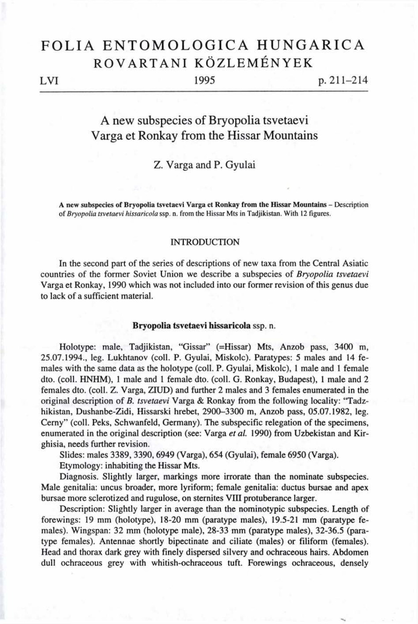# FOLIA ENTOMOLOGICA HUNGARICA ROVARTANI KÖZLEMÉNYEK

### LVI

1995

 $p. 211 - 214$ 

# A new subspecies of Bryopolia tsvetaevi Varga et Ronkay from the Hissar Mountains

## Z. Varga and P. Gyulai

A **new subspecies of Bryopolia tsvetaevi Varga et Ronkay from the Hissar Mountains** - Description of *Bryopolia tsvetaevi hissaricola* ssp. n. from the Hissar Mts in Tadjikistan. With 12 figures.

#### **INTRODUCTION**

In the second part of the series of descriptions of new taxa from the Central Asiatic countries of the former Soviet Union we describe a subspecies of *Bryopolia tsvetaevi*  Varga et Ronkay, 1990 which was not included into our former revision of this genus due to lack of a sufficient material.

#### **Bryopolia tsvetaevi hissaricola** ssp. n.

Holotype: male, Tadjikistan, "Gissar" (=Hissar) Mts, Anzob pass, 3400 m, 25.07.1994., leg. Lukhtanov (coll. P. Gyulai, Miskolc). Paratypes: 5 males and 14 females with the same data as the holotype (coll. P. Gyulai, Miskolc), 1 male and 1 female dto. (coll. HNHM), 1 male and 1 female dto. (coll. G. Ronkay, Budapest), 1 male and 2 females dto. (coll. Z. Varga, ZIUD) and further 2 males and 3 females enumerated in the original description of *B. tsvetaevi* Varga & Ronkay from the following locality: "Tadzhikistan, Dushanbe-Zidi, Hissarski hrebet, 2900-3300 m, Anzob pass, 05.07.1982, leg. Cerny" (coll. Peks, Schwanfeld, Germany). The subspecific relegation of the specimens, enumerated in the original description (see: Varga *et al.* 1990) from Uzbekistan and Kirghisia, needs further revision.

Slides: males 3389, 3390, 6949 (Varga), 654 (Gyulai), female 6950 (Varga).

Etymology: inhabiting the Hissar Mts.

Diagnosis. Slightly larger, markings more irrorate than the nominate subspecies. Male genitalia: uncus broader, more lyriform; female genitalia: ductus bursae and apex bursae more sclerotized and rugulose, on sternites VIII protuberance larger.

Description: Slightly larger in average than the nominotypic subspecies. Length of forewings: 19 mm (holotype), 18-20 mm (paratype males), 19.5-21 mm (paratype females). Wingspan: 32 mm (holotype male), 28-33 mm (paratype males), 32-36.5 (paratype females). Antennae shortly bipectinate and ciliate (males) or filiform (females). Head and thorax dark grey with finely dispersed silvery and ochraceous hairs. Abdomen dull ochraceous grey with whitish-ochraceous tuft. Forewings ochraceous, densely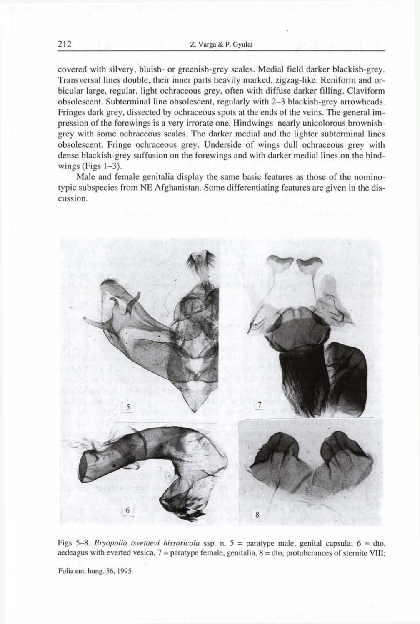covered with silvery, bluish- or greenish-grey scales. Medial field darker blackish-grey. Transversal lines double, their inner parts heavily marked, zigzag-like. Reniform and orbicular large, regular, light ochraceous grey, often with diffuse darker filling. Claviform obsolescent. Subterminal line obsolescent, regularly with 2-3 blackish-grey arrowheads. Fringes dark grey, dissected by ochraceous spots at the ends of the veins. The general impression of the forewings is a very irrorate one. Hindwings nearly unicolorous brownishgrey with some ochraceous scales. The darker medial and the lighter subterminal lines obsolescent. Fringe ochraceous grey. Underside of wings dull ochraceous grey with dense blackish-grey suffusion on the forewings and with darker medial lines on the hindwings (Figs  $1-3$ ).

Male and female genitalia display the same basic features as those of the nominotypic subspecies from NE Afghanistan. Some differentiating features are given in the discussion.



Figs 5-8. *Bryopolia tsvetaevi hissaricola* ssp. n. 5 = paratype male, genital capsula; 6 = dto, aedeagus with everted vesica, 7 = paratype female, genitalia, 8 = dto, protuberances of sternite VIII;

Folia ent. hung. 56, 1995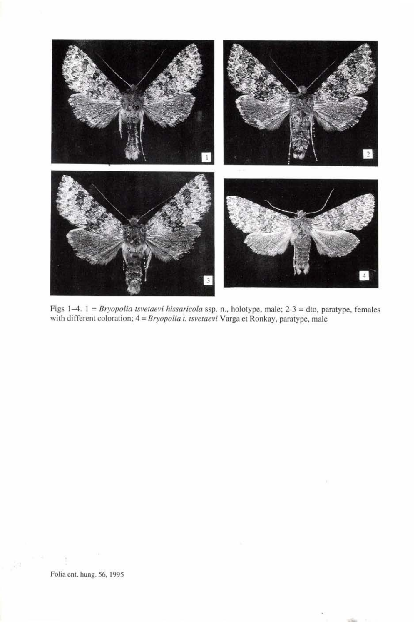

Figs 1-4. 1 = *Bryopolia tsvetaevi hissaricola* ssp. n., holotype, male; 2-3 = dto, paratype, females with different coloration; 4 = *Bryopolia t. tsvetaevi* Varga et Ronkay, paratype, male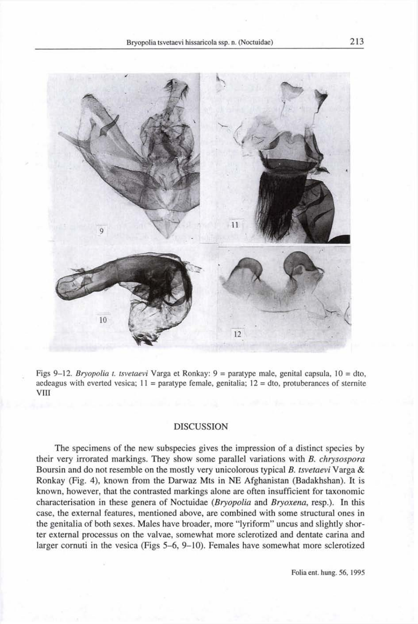

Figs 9-12. *Bryopolia t. tsvetaevi* Varga et Ronkay: 9 = paratype male, genital capsula, 10 = dto, aedeagus with everted vesica;  $11 =$  paratype female, genitalia;  $12 =$  dto, protuberances of sternite VIII

#### **DISCUSSION**

The specimens of the new subspecies gives the impression of a distinct species by their very irrorated markings. They show some parallel variations with *B. chrysospora*  Boursin and do not resemble on the mostly very unicolorous typical *B. tsvetaevi* Varga & Ronkay (Fig. 4), known from the Darwaz Mts in NE Afghanistan (Badakhshan). It is known, however, that the contrasted markings alone are often insufficient for taxonomic characterisation in these genera of Noctuidae *(Bryopolia* and *Bryoxena,* resp.). In this case, the external features, mentioned above, are combined with some structural ones in the genitalia of both sexes. Males have broader, more "lyriform" uncus and slightly shorter external processus on the valvae, somewhat more sclerotized and dentate carina and larger cornuti in the vesica (Figs 5-6, 9-10). Females have somewhat more sclerotized

Folia ent. hung. 56, 1995